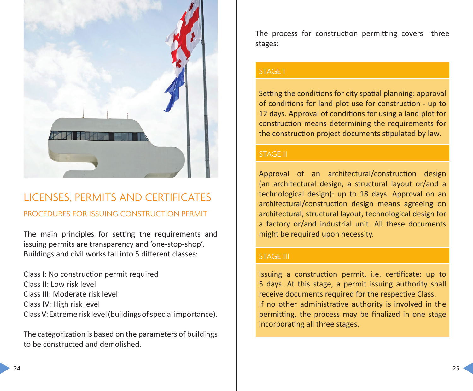

# LICENSES, PERMITS AND CERTIFICATES PROCEDURES FOR ISSUING CONSTRUCTION PERMIT

The main principles for setting the requirements and issuing permits are transparency and 'one-stop-shop'. Buildings and civil works fall into 5 different classes:

Class I: No construction permit required Class II: Low risk level Class III: Moderate risk level Class IV: High risk level Class V: Extreme risk level (buildings of special importance).

The categorization is based on the parameters of buildings to be constructed and demolished.

The process for construction permitting covers three stages:

#### STAGE I

Setting the conditions for city spatial planning: approval of conditions for land plot use for construction - up to 12 days. Approval of conditions for using a land plot for construction means determining the requirements for the construction project documents stipulated by law.

## STAGE II

Approval of an architectural/construction design (an architectural design, a structural layout or/and a technological design): up to 18 days. Approval on an architectural/construction design means agreeing on architectural, structural layout, technological design for a factory or/and industrial unit. All these documents might be required upon necessity.

#### STAGE III

Issuing a construction permit, i.e. certificate: up to 5 days. At this stage, a permit issuing authority shall receive documents required for the respective Class. If no other administrative authority is involved in the permitting, the process may be finalized in one stage incorporating all three stages.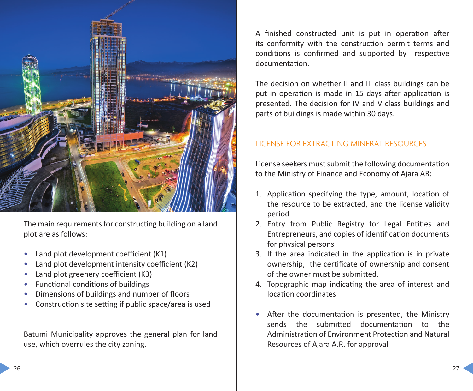

The main requirements for constructing building on a land plot are as follows:

- Land plot development coefficient (K1)
- Land plot development intensity coefficient (K2)
- Land plot greenery coefficient (K3)
- Functional conditions of buildings
- Dimensions of buildings and number of floors
- Construction site setting if public space/area is used

Batumi Municipality approves the general plan for land use, which overrules the city zoning.

A finished constructed unit is put in operation after its conformity with the construction permit terms and conditions is confirmed and supported by respective documentation.

The decision on whether II and III class buildings can be put in operation is made in 15 days after application is presented. The decision for IV and V class buildings and parts of buildings is made within 30 days.

## LICENSE FOR EXTRACTING MINERAL RESOURCES

License seekers must submit the following documentation to the Ministry of Finance and Economy of Ajara AR:

- 1. Application specifying the type, amount, location of the resource to be extracted, and the license validity period
- 2. Entry from Public Registry for Legal Entities and Entrepreneurs, and copies of identification documents for physical persons
- 3. If the area indicated in the application is in private ownership, the certificate of ownership and consent of the owner must be submitted.
- 4. Topographic map indicating the area of interest and location coordinates
- After the documentation is presented, the Ministry sends the submitted documentation to the Administration of Environment Protection and Natural Resources of Ajara A.R. for approval